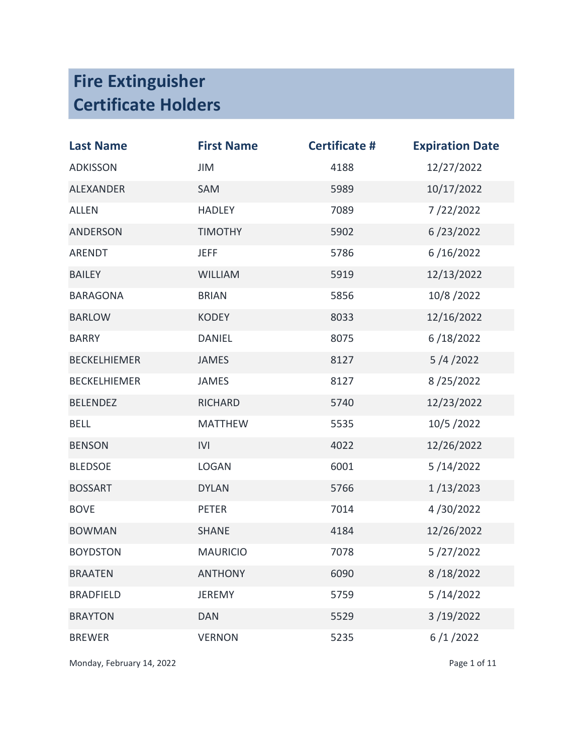| <b>Last Name</b>    | <b>First Name</b> | <b>Certificate #</b> | <b>Expiration Date</b> |
|---------------------|-------------------|----------------------|------------------------|
| <b>ADKISSON</b>     | JIM               | 4188                 | 12/27/2022             |
| <b>ALEXANDER</b>    | SAM               | 5989                 | 10/17/2022             |
| <b>ALLEN</b>        | <b>HADLEY</b>     | 7089                 | 7/22/2022              |
| <b>ANDERSON</b>     | <b>TIMOTHY</b>    | 5902                 | 6/23/2022              |
| ARENDT              | <b>JEFF</b>       | 5786                 | 6/16/2022              |
| <b>BAILEY</b>       | <b>WILLIAM</b>    | 5919                 | 12/13/2022             |
| <b>BARAGONA</b>     | <b>BRIAN</b>      | 5856                 | 10/8/2022              |
| <b>BARLOW</b>       | <b>KODEY</b>      | 8033                 | 12/16/2022             |
| <b>BARRY</b>        | <b>DANIEL</b>     | 8075                 | 6/18/2022              |
| <b>BECKELHIEMER</b> | <b>JAMES</b>      | 8127                 | 5/4/2022               |
| <b>BECKELHIEMER</b> | <b>JAMES</b>      | 8127                 | 8/25/2022              |
| <b>BELENDEZ</b>     | <b>RICHARD</b>    | 5740                 | 12/23/2022             |
| <b>BELL</b>         | <b>MATTHEW</b>    | 5535                 | 10/5/2022              |
| <b>BENSON</b>       | IVI               | 4022                 | 12/26/2022             |
| <b>BLEDSOE</b>      | <b>LOGAN</b>      | 6001                 | 5/14/2022              |
| <b>BOSSART</b>      | <b>DYLAN</b>      | 5766                 | 1/13/2023              |
| <b>BOVE</b>         | <b>PETER</b>      | 7014                 | 4/30/2022              |
| <b>BOWMAN</b>       | <b>SHANE</b>      | 4184                 | 12/26/2022             |
| <b>BOYDSTON</b>     | <b>MAURICIO</b>   | 7078                 | 5/27/2022              |
| <b>BRAATEN</b>      | <b>ANTHONY</b>    | 6090                 | 8/18/2022              |
| <b>BRADFIELD</b>    | <b>JEREMY</b>     | 5759                 | 5/14/2022              |
| <b>BRAYTON</b>      | <b>DAN</b>        | 5529                 | 3/19/2022              |
| <b>BREWER</b>       | <b>VERNON</b>     | 5235                 | 6/1/2022               |

Monday, February 14, 2022 **Page 1 of 11**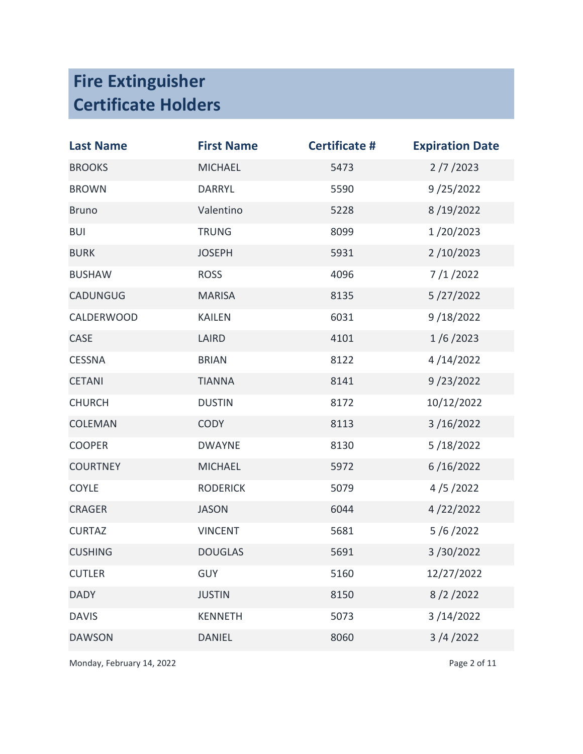| <b>Last Name</b> | <b>First Name</b> | <b>Certificate #</b> | <b>Expiration Date</b> |
|------------------|-------------------|----------------------|------------------------|
| <b>BROOKS</b>    | <b>MICHAEL</b>    | 5473                 | 2/7/2023               |
| <b>BROWN</b>     | <b>DARRYL</b>     | 5590                 | 9/25/2022              |
| <b>Bruno</b>     | Valentino         | 5228                 | 8/19/2022              |
| <b>BUI</b>       | <b>TRUNG</b>      | 8099                 | 1/20/2023              |
| <b>BURK</b>      | <b>JOSEPH</b>     | 5931                 | 2/10/2023              |
| <b>BUSHAW</b>    | <b>ROSS</b>       | 4096                 | 7/1/2022               |
| <b>CADUNGUG</b>  | <b>MARISA</b>     | 8135                 | 5/27/2022              |
| CALDERWOOD       | <b>KAILEN</b>     | 6031                 | 9/18/2022              |
| CASE             | LAIRD             | 4101                 | 1/6/2023               |
| <b>CESSNA</b>    | <b>BRIAN</b>      | 8122                 | 4/14/2022              |
| <b>CETANI</b>    | <b>TIANNA</b>     | 8141                 | 9/23/2022              |
| <b>CHURCH</b>    | <b>DUSTIN</b>     | 8172                 | 10/12/2022             |
| <b>COLEMAN</b>   | <b>CODY</b>       | 8113                 | 3/16/2022              |
| <b>COOPER</b>    | <b>DWAYNE</b>     | 8130                 | 5/18/2022              |
| <b>COURTNEY</b>  | <b>MICHAEL</b>    | 5972                 | 6/16/2022              |
| <b>COYLE</b>     | <b>RODERICK</b>   | 5079                 | 4/5/2022               |
| <b>CRAGER</b>    | <b>JASON</b>      | 6044                 | 4/22/2022              |
| <b>CURTAZ</b>    | <b>VINCENT</b>    | 5681                 | 5/6/2022               |
| <b>CUSHING</b>   | <b>DOUGLAS</b>    | 5691                 | 3/30/2022              |
| <b>CUTLER</b>    | <b>GUY</b>        | 5160                 | 12/27/2022             |
| <b>DADY</b>      | <b>JUSTIN</b>     | 8150                 | 8/2/2022               |
| <b>DAVIS</b>     | <b>KENNETH</b>    | 5073                 | 3/14/2022              |
| <b>DAWSON</b>    | <b>DANIEL</b>     | 8060                 | 3/4/2022               |

Monday, February 14, 2022 **Page 2 of 11**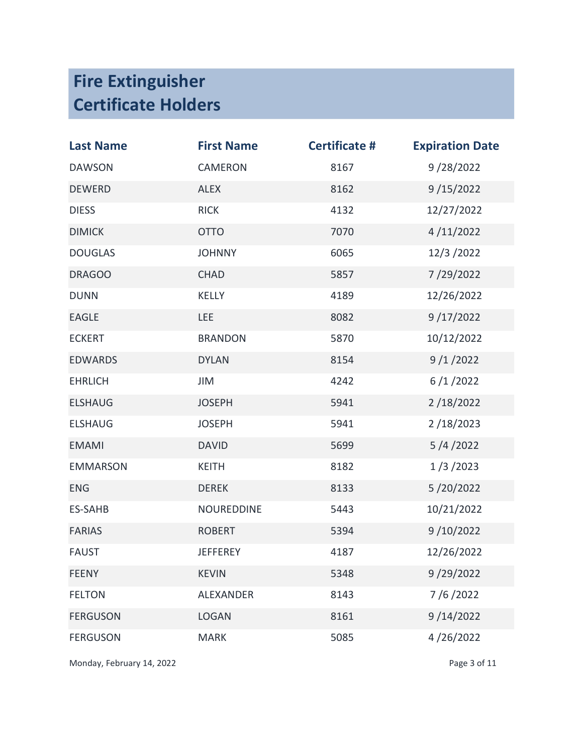| <b>Last Name</b> | <b>First Name</b> | <b>Certificate #</b> | <b>Expiration Date</b> |
|------------------|-------------------|----------------------|------------------------|
| <b>DAWSON</b>    | CAMERON           | 8167                 | 9/28/2022              |
| <b>DEWERD</b>    | <b>ALEX</b>       | 8162                 | 9/15/2022              |
| <b>DIESS</b>     | <b>RICK</b>       | 4132                 | 12/27/2022             |
| <b>DIMICK</b>    | <b>OTTO</b>       | 7070                 | 4/11/2022              |
| <b>DOUGLAS</b>   | <b>JOHNNY</b>     | 6065                 | 12/3/2022              |
| <b>DRAGOO</b>    | <b>CHAD</b>       | 5857                 | 7/29/2022              |
| <b>DUNN</b>      | <b>KELLY</b>      | 4189                 | 12/26/2022             |
| <b>EAGLE</b>     | LEE               | 8082                 | 9/17/2022              |
| <b>ECKERT</b>    | <b>BRANDON</b>    | 5870                 | 10/12/2022             |
| <b>EDWARDS</b>   | <b>DYLAN</b>      | 8154                 | 9/1/2022               |
| <b>EHRLICH</b>   | JIM               | 4242                 | 6/1/2022               |
| <b>ELSHAUG</b>   | <b>JOSEPH</b>     | 5941                 | 2/18/2022              |
| <b>ELSHAUG</b>   | <b>JOSEPH</b>     | 5941                 | 2/18/2023              |
| <b>EMAMI</b>     | <b>DAVID</b>      | 5699                 | 5/4/2022               |
| <b>EMMARSON</b>  | <b>KEITH</b>      | 8182                 | 1/3/2023               |
| <b>ENG</b>       | <b>DEREK</b>      | 8133                 | 5/20/2022              |
| <b>ES-SAHB</b>   | <b>NOUREDDINE</b> | 5443                 | 10/21/2022             |
| <b>FARIAS</b>    | <b>ROBERT</b>     | 5394                 | 9/10/2022              |
| <b>FAUST</b>     | <b>JEFFEREY</b>   | 4187                 | 12/26/2022             |
| <b>FEENY</b>     | <b>KEVIN</b>      | 5348                 | 9/29/2022              |
| <b>FELTON</b>    | <b>ALEXANDER</b>  | 8143                 | 7/6/2022               |
| <b>FERGUSON</b>  | <b>LOGAN</b>      | 8161                 | 9/14/2022              |
| <b>FERGUSON</b>  | <b>MARK</b>       | 5085                 | 4/26/2022              |

Monday, February 14, 2022 **Page 3 of 11**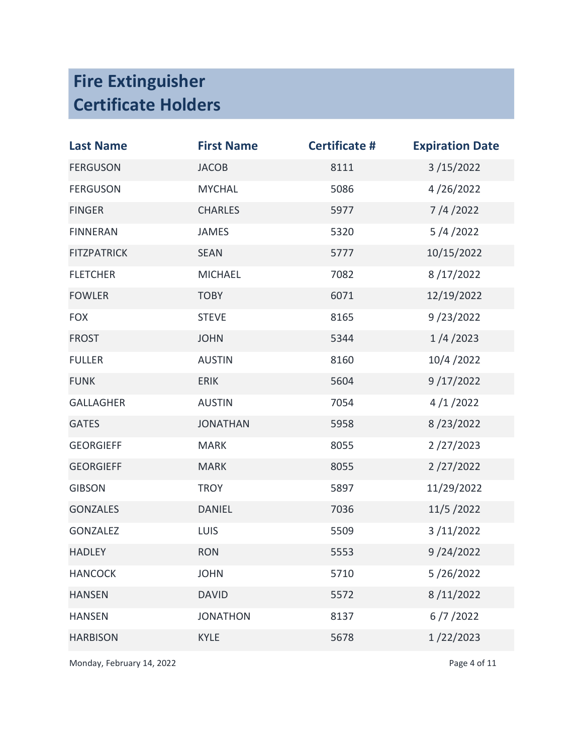| <b>Last Name</b>   | <b>First Name</b> | <b>Certificate #</b> | <b>Expiration Date</b> |
|--------------------|-------------------|----------------------|------------------------|
| <b>FERGUSON</b>    | <b>JACOB</b>      | 8111                 | 3/15/2022              |
| <b>FERGUSON</b>    | <b>MYCHAL</b>     | 5086                 | 4/26/2022              |
| <b>FINGER</b>      | <b>CHARLES</b>    | 5977                 | 7/4/2022               |
| <b>FINNERAN</b>    | <b>JAMES</b>      | 5320                 | 5/4/2022               |
| <b>FITZPATRICK</b> | <b>SEAN</b>       | 5777                 | 10/15/2022             |
| <b>FLETCHER</b>    | <b>MICHAEL</b>    | 7082                 | 8/17/2022              |
| <b>FOWLER</b>      | <b>TOBY</b>       | 6071                 | 12/19/2022             |
| <b>FOX</b>         | <b>STEVE</b>      | 8165                 | 9/23/2022              |
| <b>FROST</b>       | <b>JOHN</b>       | 5344                 | 1/4/2023               |
| <b>FULLER</b>      | <b>AUSTIN</b>     | 8160                 | 10/4/2022              |
| <b>FUNK</b>        | <b>ERIK</b>       | 5604                 | 9/17/2022              |
| <b>GALLAGHER</b>   | <b>AUSTIN</b>     | 7054                 | 4/1/2022               |
| <b>GATES</b>       | <b>JONATHAN</b>   | 5958                 | 8/23/2022              |
| <b>GEORGIEFF</b>   | <b>MARK</b>       | 8055                 | 2/27/2023              |
| <b>GEORGIEFF</b>   | <b>MARK</b>       | 8055                 | 2/27/2022              |
| <b>GIBSON</b>      | <b>TROY</b>       | 5897                 | 11/29/2022             |
| <b>GONZALES</b>    | <b>DANIEL</b>     | 7036                 | 11/5/2022              |
| GONZALEZ           | <b>LUIS</b>       | 5509                 | 3/11/2022              |
| <b>HADLEY</b>      | <b>RON</b>        | 5553                 | 9/24/2022              |
| <b>HANCOCK</b>     | <b>JOHN</b>       | 5710                 | 5/26/2022              |
| <b>HANSEN</b>      | <b>DAVID</b>      | 5572                 | 8/11/2022              |
| <b>HANSEN</b>      | <b>JONATHON</b>   | 8137                 | 6/7/2022               |
| <b>HARBISON</b>    | <b>KYLE</b>       | 5678                 | 1/22/2023              |

Monday, February 14, 2022 **Page 4 of 11**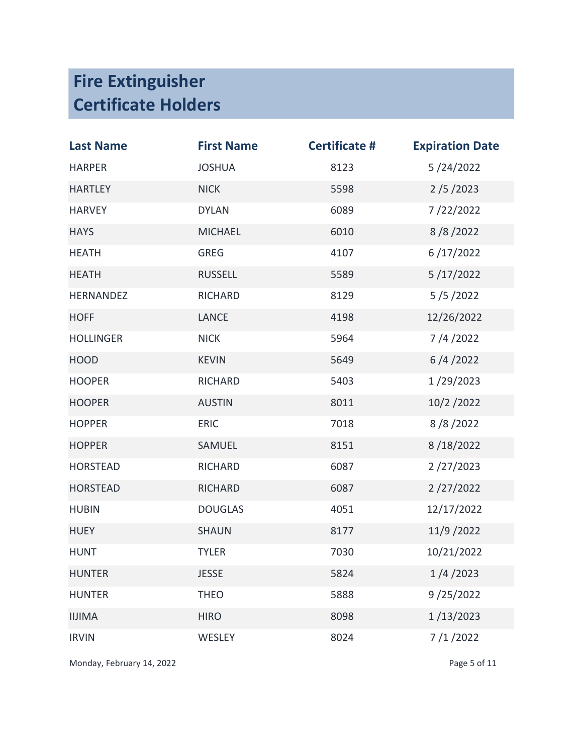| <b>Last Name</b> | <b>First Name</b> | <b>Certificate #</b> | <b>Expiration Date</b> |
|------------------|-------------------|----------------------|------------------------|
| <b>HARPER</b>    | <b>JOSHUA</b>     | 8123                 | 5/24/2022              |
| <b>HARTLEY</b>   | <b>NICK</b>       | 5598                 | 2/5/2023               |
| <b>HARVEY</b>    | <b>DYLAN</b>      | 6089                 | 7/22/2022              |
| <b>HAYS</b>      | <b>MICHAEL</b>    | 6010                 | 8/8/2022               |
| <b>HEATH</b>     | <b>GREG</b>       | 4107                 | 6/17/2022              |
| <b>HEATH</b>     | <b>RUSSELL</b>    | 5589                 | 5/17/2022              |
| <b>HERNANDEZ</b> | <b>RICHARD</b>    | 8129                 | 5/5/2022               |
| <b>HOFF</b>      | <b>LANCE</b>      | 4198                 | 12/26/2022             |
| <b>HOLLINGER</b> | <b>NICK</b>       | 5964                 | 7/4/2022               |
| <b>HOOD</b>      | <b>KEVIN</b>      | 5649                 | 6/4/2022               |
| <b>HOOPER</b>    | RICHARD           | 5403                 | 1/29/2023              |
| <b>HOOPER</b>    | <b>AUSTIN</b>     | 8011                 | 10/2/2022              |
| <b>HOPPER</b>    | <b>ERIC</b>       | 7018                 | 8/8/2022               |
| <b>HOPPER</b>    | SAMUEL            | 8151                 | 8/18/2022              |
| <b>HORSTEAD</b>  | RICHARD           | 6087                 | 2/27/2023              |
| <b>HORSTEAD</b>  | <b>RICHARD</b>    | 6087                 | 2/27/2022              |
| <b>HUBIN</b>     | <b>DOUGLAS</b>    | 4051                 | 12/17/2022             |
| <b>HUEY</b>      | <b>SHAUN</b>      | 8177                 | 11/9 / 2022            |
| <b>HUNT</b>      | <b>TYLER</b>      | 7030                 | 10/21/2022             |
| <b>HUNTER</b>    | <b>JESSE</b>      | 5824                 | 1/4/2023               |
| <b>HUNTER</b>    | <b>THEO</b>       | 5888                 | 9/25/2022              |
| <b>IIJIMA</b>    | <b>HIRO</b>       | 8098                 | 1/13/2023              |
| <b>IRVIN</b>     | <b>WESLEY</b>     | 8024                 | 7/1/2022               |

Monday, February 14, 2022 and the extent of the Page 5 of 11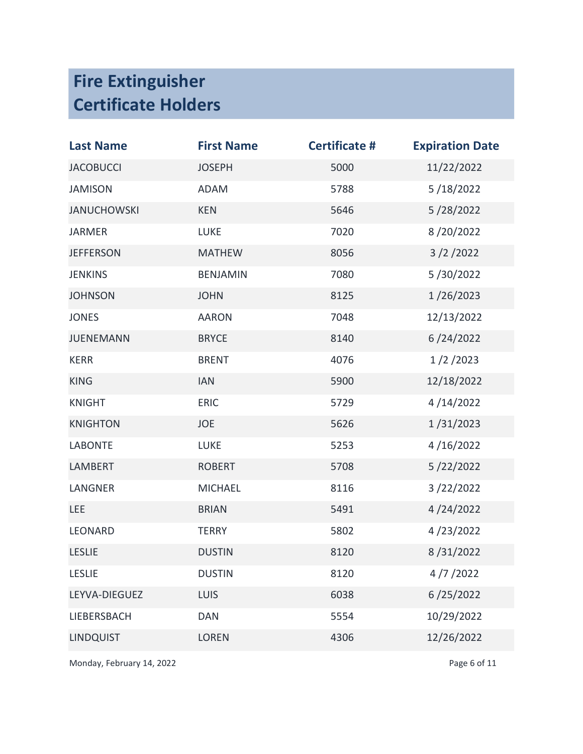| <b>Last Name</b>   | <b>First Name</b> | <b>Certificate #</b> | <b>Expiration Date</b> |
|--------------------|-------------------|----------------------|------------------------|
| <b>JACOBUCCI</b>   | <b>JOSEPH</b>     | 5000                 | 11/22/2022             |
| <b>JAMISON</b>     | <b>ADAM</b>       | 5788                 | 5/18/2022              |
| <b>JANUCHOWSKI</b> | <b>KEN</b>        | 5646                 | 5/28/2022              |
| <b>JARMER</b>      | <b>LUKE</b>       | 7020                 | 8/20/2022              |
| <b>JEFFERSON</b>   | <b>MATHEW</b>     | 8056                 | 3/2/2022               |
| <b>JENKINS</b>     | <b>BENJAMIN</b>   | 7080                 | 5/30/2022              |
| <b>JOHNSON</b>     | <b>JOHN</b>       | 8125                 | 1/26/2023              |
| <b>JONES</b>       | <b>AARON</b>      | 7048                 | 12/13/2022             |
| <b>JUENEMANN</b>   | <b>BRYCE</b>      | 8140                 | 6/24/2022              |
| <b>KERR</b>        | <b>BRENT</b>      | 4076                 | 1/2/2023               |
| <b>KING</b>        | <b>IAN</b>        | 5900                 | 12/18/2022             |
| <b>KNIGHT</b>      | <b>ERIC</b>       | 5729                 | 4/14/2022              |
| <b>KNIGHTON</b>    | <b>JOE</b>        | 5626                 | 1/31/2023              |
| <b>LABONTE</b>     | <b>LUKE</b>       | 5253                 | 4/16/2022              |
| <b>LAMBERT</b>     | <b>ROBERT</b>     | 5708                 | 5/22/2022              |
| LANGNER            | <b>MICHAEL</b>    | 8116                 | 3/22/2022              |
| <b>LEE</b>         | <b>BRIAN</b>      | 5491                 | 4/24/2022              |
| LEONARD            | <b>TERRY</b>      | 5802                 | 4/23/2022              |
| <b>LESLIE</b>      | <b>DUSTIN</b>     | 8120                 | 8/31/2022              |
| <b>LESLIE</b>      | <b>DUSTIN</b>     | 8120                 | 4/7/2022               |
| LEYVA-DIEGUEZ      | LUIS              | 6038                 | 6/25/2022              |
| LIEBERSBACH        | <b>DAN</b>        | 5554                 | 10/29/2022             |
| <b>LINDQUIST</b>   | <b>LOREN</b>      | 4306                 | 12/26/2022             |

Monday, February 14, 2022 **Page 6 of 11**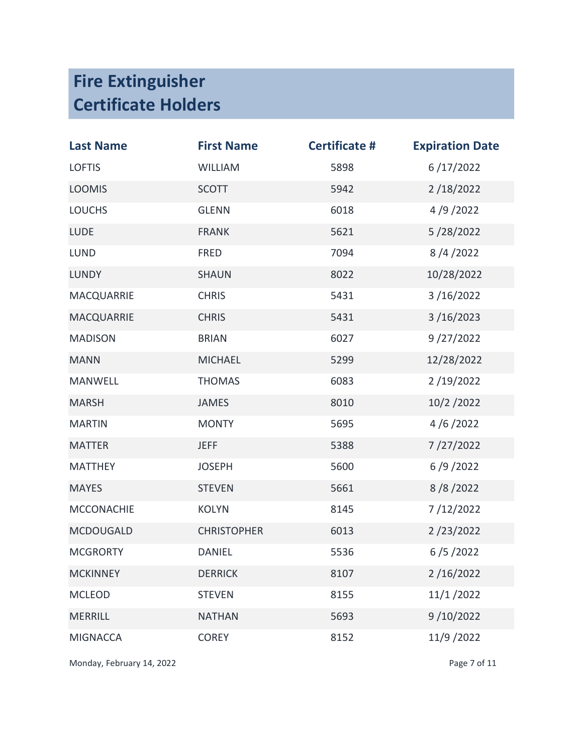| <b>Last Name</b>  | <b>First Name</b>  | <b>Certificate #</b> | <b>Expiration Date</b> |
|-------------------|--------------------|----------------------|------------------------|
| <b>LOFTIS</b>     | <b>WILLIAM</b>     | 5898                 | 6/17/2022              |
| <b>LOOMIS</b>     | <b>SCOTT</b>       | 5942                 | 2/18/2022              |
| <b>LOUCHS</b>     | <b>GLENN</b>       | 6018                 | 4/9/2022               |
| <b>LUDE</b>       | <b>FRANK</b>       | 5621                 | 5/28/2022              |
| <b>LUND</b>       | <b>FRED</b>        | 7094                 | 8/4/2022               |
| <b>LUNDY</b>      | <b>SHAUN</b>       | 8022                 | 10/28/2022             |
| <b>MACQUARRIE</b> | <b>CHRIS</b>       | 5431                 | 3/16/2022              |
| <b>MACQUARRIE</b> | <b>CHRIS</b>       | 5431                 | 3/16/2023              |
| <b>MADISON</b>    | <b>BRIAN</b>       | 6027                 | 9/27/2022              |
| <b>MANN</b>       | <b>MICHAEL</b>     | 5299                 | 12/28/2022             |
| <b>MANWELL</b>    | <b>THOMAS</b>      | 6083                 | 2/19/2022              |
| <b>MARSH</b>      | <b>JAMES</b>       | 8010                 | 10/2/2022              |
| <b>MARTIN</b>     | <b>MONTY</b>       | 5695                 | 4/6/2022               |
| <b>MATTER</b>     | <b>JEFF</b>        | 5388                 | 7/27/2022              |
| <b>MATTHEY</b>    | <b>JOSEPH</b>      | 5600                 | 6/9/2022               |
| <b>MAYES</b>      | <b>STEVEN</b>      | 5661                 | 8/8/2022               |
| <b>MCCONACHIE</b> | <b>KOLYN</b>       | 8145                 | 7/12/2022              |
| <b>MCDOUGALD</b>  | <b>CHRISTOPHER</b> | 6013                 | 2/23/2022              |
| <b>MCGRORTY</b>   | <b>DANIEL</b>      | 5536                 | 6/5/2022               |
| <b>MCKINNEY</b>   | <b>DERRICK</b>     | 8107                 | 2/16/2022              |
| <b>MCLEOD</b>     | <b>STEVEN</b>      | 8155                 | 11/1/2022              |
| <b>MERRILL</b>    | <b>NATHAN</b>      | 5693                 | 9/10/2022              |
| <b>MIGNACCA</b>   | <b>COREY</b>       | 8152                 | 11/9/2022              |

Monday, February 14, 2022 and the extent of the Page 7 of 11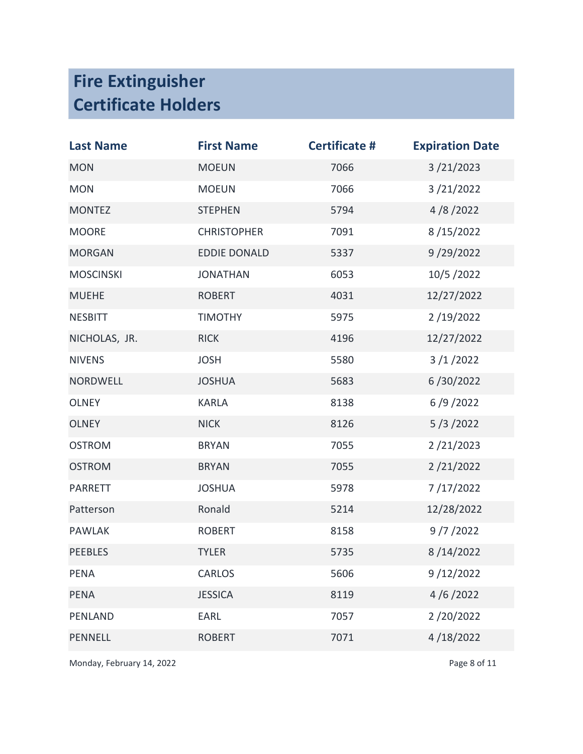| <b>Last Name</b> | <b>First Name</b>   | <b>Certificate #</b> | <b>Expiration Date</b> |
|------------------|---------------------|----------------------|------------------------|
| <b>MON</b>       | <b>MOEUN</b>        | 7066                 | 3/21/2023              |
| <b>MON</b>       | <b>MOEUN</b>        | 7066                 | 3/21/2022              |
| <b>MONTEZ</b>    | <b>STEPHEN</b>      | 5794                 | 4/8/2022               |
| <b>MOORE</b>     | <b>CHRISTOPHER</b>  | 7091                 | 8/15/2022              |
| <b>MORGAN</b>    | <b>EDDIE DONALD</b> | 5337                 | 9/29/2022              |
| <b>MOSCINSKI</b> | <b>JONATHAN</b>     | 6053                 | 10/5/2022              |
| <b>MUEHE</b>     | <b>ROBERT</b>       | 4031                 | 12/27/2022             |
| <b>NESBITT</b>   | <b>TIMOTHY</b>      | 5975                 | 2/19/2022              |
| NICHOLAS, JR.    | <b>RICK</b>         | 4196                 | 12/27/2022             |
| <b>NIVENS</b>    | <b>JOSH</b>         | 5580                 | 3/1/2022               |
| <b>NORDWELL</b>  | <b>JOSHUA</b>       | 5683                 | 6/30/2022              |
| <b>OLNEY</b>     | <b>KARLA</b>        | 8138                 | 6/9/2022               |
| <b>OLNEY</b>     | <b>NICK</b>         | 8126                 | 5/3/2022               |
| <b>OSTROM</b>    | <b>BRYAN</b>        | 7055                 | 2/21/2023              |
| <b>OSTROM</b>    | <b>BRYAN</b>        | 7055                 | 2/21/2022              |
| <b>PARRETT</b>   | <b>JOSHUA</b>       | 5978                 | 7/17/2022              |
| Patterson        | Ronald              | 5214                 | 12/28/2022             |
| <b>PAWLAK</b>    | <b>ROBERT</b>       | 8158                 | 9/7/2022               |
| <b>PEEBLES</b>   | <b>TYLER</b>        | 5735                 | 8/14/2022              |
| <b>PENA</b>      | <b>CARLOS</b>       | 5606                 | 9/12/2022              |
| <b>PENA</b>      | <b>JESSICA</b>      | 8119                 | 4/6/2022               |
| <b>PENLAND</b>   | EARL                | 7057                 | 2/20/2022              |
| <b>PENNELL</b>   | <b>ROBERT</b>       | 7071                 | 4/18/2022              |

Monday, February 14, 2022 **Page 8 of 11**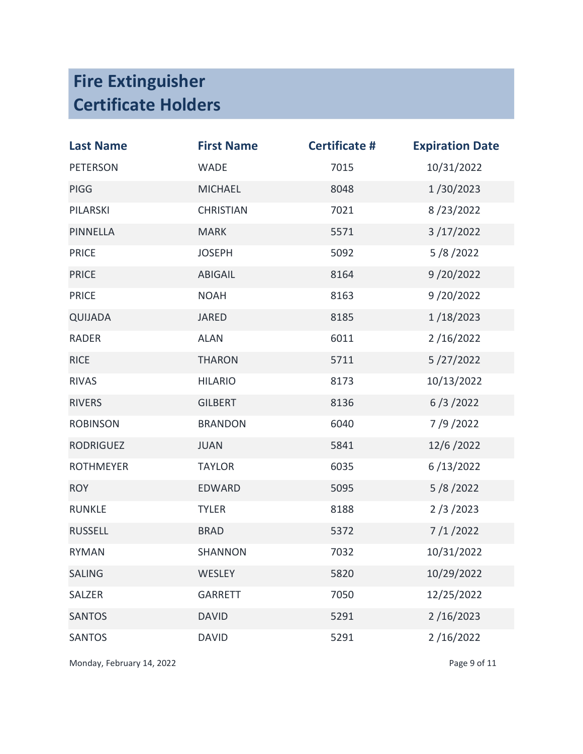| <b>Last Name</b> | <b>First Name</b> | <b>Certificate #</b> | <b>Expiration Date</b> |
|------------------|-------------------|----------------------|------------------------|
| <b>PETERSON</b>  | <b>WADE</b>       | 7015                 | 10/31/2022             |
| <b>PIGG</b>      | <b>MICHAEL</b>    | 8048                 | 1/30/2023              |
| PILARSKI         | <b>CHRISTIAN</b>  | 7021                 | 8/23/2022              |
| <b>PINNELLA</b>  | <b>MARK</b>       | 5571                 | 3/17/2022              |
| <b>PRICE</b>     | <b>JOSEPH</b>     | 5092                 | 5/8/2022               |
| <b>PRICE</b>     | <b>ABIGAIL</b>    | 8164                 | 9/20/2022              |
| <b>PRICE</b>     | <b>NOAH</b>       | 8163                 | 9/20/2022              |
| QUIJADA          | <b>JARED</b>      | 8185                 | 1/18/2023              |
| <b>RADER</b>     | <b>ALAN</b>       | 6011                 | 2/16/2022              |
| <b>RICE</b>      | <b>THARON</b>     | 5711                 | 5/27/2022              |
| <b>RIVAS</b>     | <b>HILARIO</b>    | 8173                 | 10/13/2022             |
| <b>RIVERS</b>    | <b>GILBERT</b>    | 8136                 | 6/3/2022               |
| <b>ROBINSON</b>  | <b>BRANDON</b>    | 6040                 | 7/9/2022               |
| <b>RODRIGUEZ</b> | <b>JUAN</b>       | 5841                 | 12/6/2022              |
| <b>ROTHMEYER</b> | <b>TAYLOR</b>     | 6035                 | 6/13/2022              |
| <b>ROY</b>       | <b>EDWARD</b>     | 5095                 | 5/8/2022               |
| <b>RUNKLE</b>    | <b>TYLER</b>      | 8188                 | 2/3/2023               |
| <b>RUSSELL</b>   | <b>BRAD</b>       | 5372                 | 7/1/2022               |
| <b>RYMAN</b>     | <b>SHANNON</b>    | 7032                 | 10/31/2022             |
| <b>SALING</b>    | WESLEY            | 5820                 | 10/29/2022             |
| SALZER           | <b>GARRETT</b>    | 7050                 | 12/25/2022             |
| <b>SANTOS</b>    | <b>DAVID</b>      | 5291                 | 2/16/2023              |
| <b>SANTOS</b>    | <b>DAVID</b>      | 5291                 | 2/16/2022              |

Monday, February 14, 2022 **Page 9 of 11**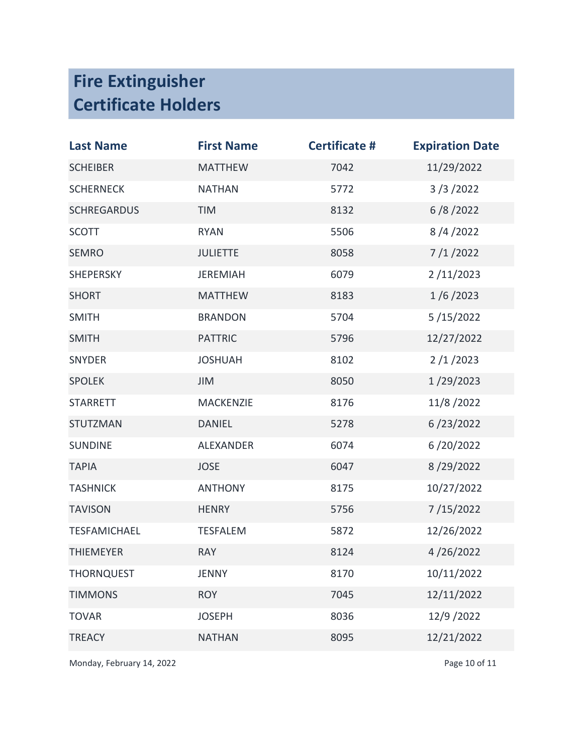| <b>Last Name</b>    | <b>First Name</b> | <b>Certificate #</b> | <b>Expiration Date</b> |
|---------------------|-------------------|----------------------|------------------------|
| <b>SCHEIBER</b>     | <b>MATTHEW</b>    | 7042                 | 11/29/2022             |
| <b>SCHERNECK</b>    | <b>NATHAN</b>     | 5772                 | 3/3/2022               |
| <b>SCHREGARDUS</b>  | TIM               | 8132                 | 6/8/2022               |
| <b>SCOTT</b>        | <b>RYAN</b>       | 5506                 | 8/4/2022               |
| <b>SEMRO</b>        | <b>JULIETTE</b>   | 8058                 | 7/1/2022               |
| <b>SHEPERSKY</b>    | <b>JEREMIAH</b>   | 6079                 | 2/11/2023              |
| <b>SHORT</b>        | <b>MATTHEW</b>    | 8183                 | 1/6/2023               |
| <b>SMITH</b>        | <b>BRANDON</b>    | 5704                 | 5/15/2022              |
| <b>SMITH</b>        | <b>PATTRIC</b>    | 5796                 | 12/27/2022             |
| <b>SNYDER</b>       | <b>JOSHUAH</b>    | 8102                 | 2/1/2023               |
| <b>SPOLEK</b>       | JIM               | 8050                 | 1/29/2023              |
| <b>STARRETT</b>     | MACKENZIE         | 8176                 | 11/8/2022              |
| <b>STUTZMAN</b>     | <b>DANIEL</b>     | 5278                 | 6/23/2022              |
| <b>SUNDINE</b>      | <b>ALEXANDER</b>  | 6074                 | 6/20/2022              |
| <b>TAPIA</b>        | <b>JOSE</b>       | 6047                 | 8/29/2022              |
| <b>TASHNICK</b>     | <b>ANTHONY</b>    | 8175                 | 10/27/2022             |
| <b>TAVISON</b>      | <b>HENRY</b>      | 5756                 | 7/15/2022              |
| <b>TESFAMICHAEL</b> | <b>TESFALEM</b>   | 5872                 | 12/26/2022             |
| <b>THIEMEYER</b>    | <b>RAY</b>        | 8124                 | 4/26/2022              |
| <b>THORNQUEST</b>   | <b>JENNY</b>      | 8170                 | 10/11/2022             |
| <b>TIMMONS</b>      | <b>ROY</b>        | 7045                 | 12/11/2022             |
| <b>TOVAR</b>        | <b>JOSEPH</b>     | 8036                 | 12/9/2022              |
| <b>TREACY</b>       | <b>NATHAN</b>     | 8095                 | 12/21/2022             |

Monday, February 14, 2022 and the extent of the Page 10 of 11